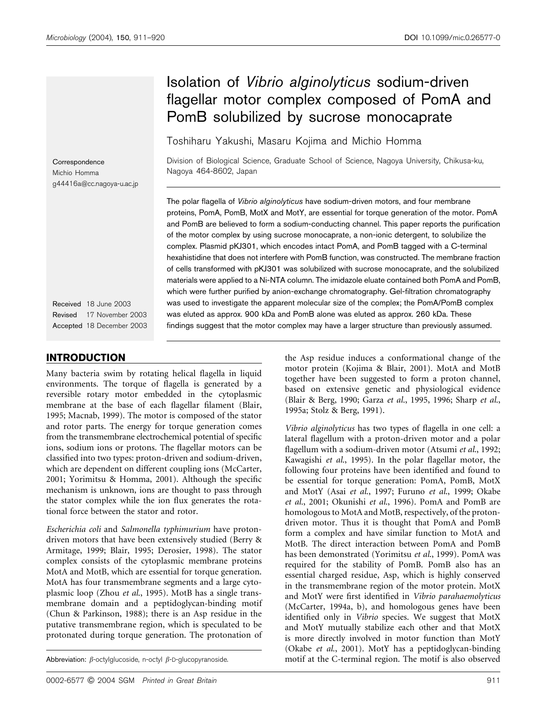# Isolation of Vibrio alginolyticus sodium-driven flagellar motor complex composed of PomA and PomB solubilized by sucrose monocaprate

Toshiharu Yakushi, Masaru Kojima and Michio Homma

**Correspondence** Michio Homma g44416a@cc.nagoya-u.ac.jp

Received 18 June 2003 Revised 17 November 2003 Accepted 18 December 2003

# INTRODUCTION

Many bacteria swim by rotating helical flagella in liquid environments. The torque of flagella is generated by a reversible rotary motor embedded in the cytoplasmic membrane at the base of each flagellar filament (Blair, 1995; Macnab, 1999). The motor is composed of the stator and rotor parts. The energy for torque generation comes from the transmembrane electrochemical potential of specific ions, sodium ions or protons. The flagellar motors can be classified into two types: proton-driven and sodium-driven, which are dependent on different coupling ions (McCarter, 2001; Yorimitsu & Homma, 2001). Although the specific mechanism is unknown, ions are thought to pass through the stator complex while the ion flux generates the rotational force between the stator and rotor.

Escherichia coli and Salmonella typhimurium have protondriven motors that have been extensively studied (Berry & Armitage, 1999; Blair, 1995; Derosier, 1998). The stator complex consists of the cytoplasmic membrane proteins MotA and MotB, which are essential for torque generation. MotA has four transmembrane segments and a large cytoplasmic loop (Zhou et al., 1995). MotB has a single transmembrane domain and a peptidoglycan-binding motif (Chun & Parkinson, 1988); there is an Asp residue in the putative transmembrane region, which is speculated to be protonated during torque generation. The protonation of

Division of Biological Science, Graduate School of Science, Nagoya University, Chikusa-ku, Nagoya 464-8602, Japan

The polar flagella of Vibrio alginolyticus have sodium-driven motors, and four membrane proteins, PomA, PomB, MotX and MotY, are essential for torque generation of the motor. PomA and PomB are believed to form a sodium-conducting channel. This paper reports the purification of the motor complex by using sucrose monocaprate, a non-ionic detergent, to solubilize the complex. Plasmid pKJ301, which encodes intact PomA, and PomB tagged with a C-terminal hexahistidine that does not interfere with PomB function, was constructed. The membrane fraction of cells transformed with pKJ301 was solubilized with sucrose monocaprate, and the solubilized materials were applied to a Ni-NTA column. The imidazole eluate contained both PomA and PomB, which were further purified by anion-exchange chromatography. Gel-filtration chromatography was used to investigate the apparent molecular size of the complex; the PomA/PomB complex was eluted as approx. 900 kDa and PomB alone was eluted as approx. 260 kDa. These findings suggest that the motor complex may have a larger structure than previously assumed.

> the Asp residue induces a conformational change of the motor protein (Kojima & Blair, 2001). MotA and MotB together have been suggested to form a proton channel, based on extensive genetic and physiological evidence (Blair & Berg, 1990; Garza et al., 1995, 1996; Sharp et al., 1995a; Stolz & Berg, 1991).

Vibrio alginolyticus has two types of flagella in one cell: a lateral flagellum with a proton-driven motor and a polar flagellum with a sodium-driven motor (Atsumi et al., 1992; Kawagishi et al., 1995). In the polar flagellar motor, the following four proteins have been identified and found to be essential for torque generation: PomA, PomB, MotX and MotY (Asai et al., 1997; Furuno et al., 1999; Okabe et al., 2001; Okunishi et al., 1996). PomA and PomB are homologous to MotA and MotB, respectively, of the protondriven motor. Thus it is thought that PomA and PomB form a complex and have similar function to MotA and MotB. The direct interaction between PomA and PomB has been demonstrated (Yorimitsu et al., 1999). PomA was required for the stability of PomB. PomB also has an essential charged residue, Asp, which is highly conserved in the transmembrane region of the motor protein. MotX and MotY were first identified in Vibrio parahaemolyticus (McCarter, 1994a, b), and homologous genes have been identified only in Vibrio species. We suggest that MotX and MotY mutually stabilize each other and that MotX is more directly involved in motor function than MotY (Okabe et al., 2001). MotY has a peptidoglycan-binding Abbreviation:  $\beta$ -octylglucoside, n-octyl  $\beta$ -D-glucopyranoside. motif at the C-terminal region. The motif is also observed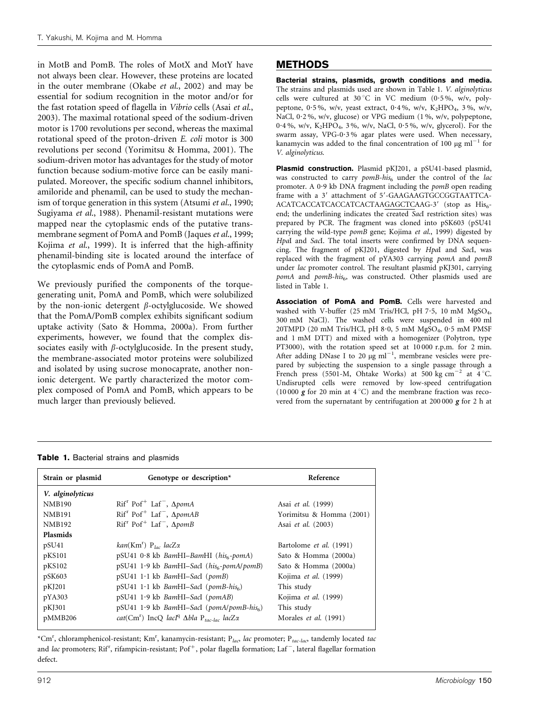in MotB and PomB. The roles of MotX and MotY have not always been clear. However, these proteins are located in the outer membrane (Okabe et al., 2002) and may be essential for sodium recognition in the motor and/or for the fast rotation speed of flagella in Vibrio cells (Asai et al., 2003). The maximal rotational speed of the sodium-driven motor is 1700 revolutions per second, whereas the maximal rotational speed of the proton-driven E. coli motor is 300 revolutions per second (Yorimitsu & Homma, 2001). The sodium-driven motor has advantages for the study of motor function because sodium-motive force can be easily manipulated. Moreover, the specific sodium channel inhibitors, amiloride and phenamil, can be used to study the mechanism of torque generation in this system (Atsumi et al., 1990; Sugiyama et al., 1988). Phenamil-resistant mutations were mapped near the cytoplasmic ends of the putative transmembrane segment of PomA and PomB (Jaques et al., 1999; Kojima et al., 1999). It is inferred that the high-affinity phenamil-binding site is located around the interface of the cytoplasmic ends of PomA and PomB.

We previously purified the components of the torquegenerating unit, PomA and PomB, which were solubilized by the non-ionic detergent  $\beta$ -octylglucoside. We showed that the PomA/PomB complex exhibits significant sodium uptake activity (Sato & Homma, 2000a). From further experiments, however, we found that the complex dissociates easily with  $\beta$ -octylglucoside. In the present study, the membrane-associated motor proteins were solubilized and isolated by using sucrose monocaprate, another nonionic detergent. We partly characterized the motor complex composed of PomA and PomB, which appears to be much larger than previously believed.

# METHODS

Bacterial strains, plasmids, growth conditions and media. The strains and plasmids used are shown in Table 1. V. alginolyticus cells were cultured at 30 °C in VC medium (0.5%, w/v, polypeptone, 0.5%, w/v, yeast extract, 0.4%, w/v,  $K_2HPO_4$ , 3%, w/v, NaCl, 0.2%, w/v, glucose) or VPG medium (1%, w/v, polypeptone, 0.4%, w/v,  $K_2HPO_4$ , 3%, w/v, NaCl, 0.5%, w/v, glycerol). For the swarm assay, VPG-0?3 % agar plates were used. When necessary, kanamycin was added to the final concentration of 100  $\mu$ g ml<sup>-1</sup> for V. alginolyticus.

Plasmid construction. Plasmid pKJ201, a pSU41-based plasmid, was constructed to carry  $pomB-his<sub>6</sub>$  under the control of the lac promoter. A 0.9 kb DNA fragment including the *pomB* open reading frame with a 3' attachment of 5'-GAAGAAGTGCCGGTAATTCA-ACATCACCATCACCATCACTAAGAGCTCAAG-3' (stop as His6end; the underlining indicates the created SacI restriction sites) was prepared by PCR. The fragment was cloned into pSK603 (pSU41 carrying the wild-type pomB gene; Kojima et al., 1999) digested by HpaI and SacI. The total inserts were confirmed by DNA sequencing. The fragment of pKJ201, digested by HpaI and SacI, was replaced with the fragment of pYA303 carrying pomA and pomB under lac promoter control. The resultant plasmid pKJ301, carrying  $pomA$  and  $pomB-his_{6}$ , was constructed. Other plasmids used are listed in Table 1.

Association of PomA and PomB. Cells were harvested and washed with V-buffer (25 mM Tris/HCl, pH 7.5, 10 mM MgSO<sub>4</sub>, 300 mM NaCl). The washed cells were suspended in 400 ml 20TMPD (20 mM Tris/HCl, pH 8?0, 5 mM MgSO4, 0?5 mM PMSF and 1 mM DTT) and mixed with a homogenizer (Polytron, type PT3000), with the rotation speed set at 10 000 r.p.m. for 2 min. After adding DNase I to 20  $\mu$ g ml<sup>-1</sup>, membrane vesicles were prepared by subjecting the suspension to a single passage through a French press (5501-M, Ohtake Works) at 500 kg cm<sup>-2</sup> at  $4^{\circ}$ C. Undisrupted cells were removed by low-speed centrifugation (10 000  $\bar{g}$  for 20 min at 4 °C) and the membrane fraction was recovered from the supernatant by centrifugation at 200 000 g for 2 h at

#### Table 1. Bacterial strains and plasmids

| Strain or plasmid | Genotype or description*                                                              | Reference                   |
|-------------------|---------------------------------------------------------------------------------------|-----------------------------|
| V. alginolyticus  |                                                                                       |                             |
| <b>NMB190</b>     | $Rif'$ Pof <sup>+</sup> Laf <sup>-</sup> , $\Delta p$ omA                             | Asai et al. (1999)          |
| <b>NMB191</b>     | $Rifr$ Pof <sup>+</sup> Laf <sup>-</sup> , $\Delta p$ omAB                            | Yorimitsu & Homma (2001)    |
| <b>NMB192</b>     | $Rif'$ Pof <sup>+</sup> Laf <sup>-</sup> , $\Delta p$ omB                             | Asai et al. (2003)          |
| <b>Plasmids</b>   |                                                                                       |                             |
| pSU <sub>41</sub> | $kan(Km^r)$ $P_{loc}$ lacZ $\alpha$                                                   | Bartolome et al. (1991)     |
| pKS101            | $pSU41$ 0.8 kb BamHI-BamHI (his <sub>6</sub> -pomA)                                   | Sato & Homma (2000a)        |
| pKS102            | $pSU41 1.9 kb$ BamHI-SacI ( $his6-pomA/pomB$ )                                        | Sato & Homma (2000a)        |
| pSK603            | $pSU41 1.1 kb$ BamHI-SacI ( $pomB$ )                                                  | Kojima <i>et al.</i> (1999) |
| pKJ201            | $pSU41 1.1 kb$ BamHI-SacI (pomB-his <sub>6</sub> )                                    | This study                  |
| pYA303            | $pSU41 1.9 kb$ BamHI-SacI ( $pomAB$ )                                                 | Kojima et al. (1999)        |
| pKJ301            | pSU41 1.9 kb BamHI-SacI (pomA/pomB-his <sub>6</sub> )                                 | This study                  |
| pMMB206           | cat(Cm <sup>r</sup> ) IncQ lacI <sup>q</sup> $\Delta b$ la P <sub>tac-lac</sub> lacZx | Morales et al. (1991)       |

\*Cm<sup>r</sup>, chloramphenicol-resistant; Km<sup>r</sup>, kanamycin-resistant; P<sub>lac</sub>, lac promoter; P<sub>tac-lac</sub>, tandemly located tac and *lac* promoters; Rif<sup>r</sup>, rifampicin-resistant; Pof<sup>+</sup>, polar flagella formation; Laf¯, lateral flagellar formation defect.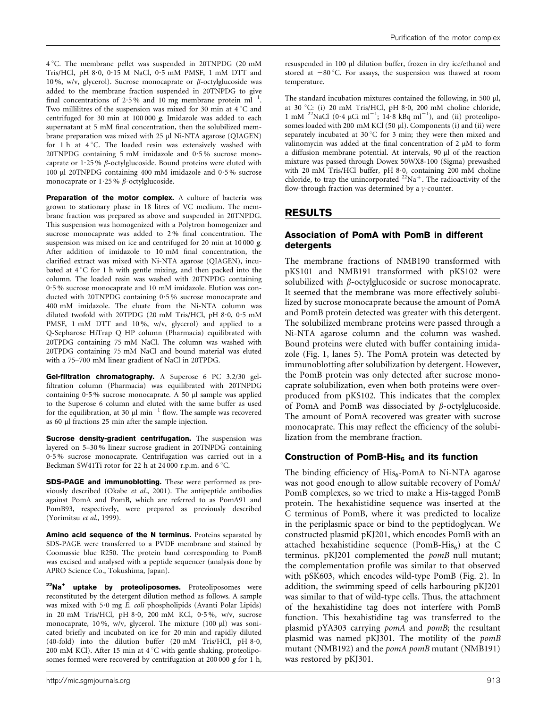4 °C. The membrane pellet was suspended in 20TNPDG (20 mM Tris/HCl, pH 8?0, 0?15 M NaCl, 0?5 mM PMSF, 1 mM DTT and 10 %, w/v, glycerol). Sucrose monocaprate or  $\beta$ -octylglucoside was added to the membrane fraction suspended in 20TNPDG to give final concentrations of 2.5% and 10 mg membrane protein  $ml^{-1}$ . Two millilitres of the suspension was mixed for 30 min at  $4^{\circ}$ C and centrifuged for 30 min at 100 000 g. Imidazole was added to each supernatant at 5 mM final concentration, then the solubilized membrane preparation was mixed with 25 µl Ni-NTA agarose (QIAGEN) for  $1 h$  at  $4 °C$ . The loaded resin was extensively washed with 20TNPDG containing 5 mM imidazole and 0?5 % sucrose monocaprate or  $1.25\%$   $\beta$ -octylglucoside. Bound proteins were eluted with 100 ml 20TNPDG containing 400 mM imidazole and 0?5 % sucrose monocaprate or  $1.25\%$   $\beta$ -octylglucoside.

Preparation of the motor complex. A culture of bacteria was grown to stationary phase in 18 litres of VC medium. The membrane fraction was prepared as above and suspended in 20TNPDG. This suspension was homogenized with a Polytron homogenizer and sucrose monocaprate was added to 2 % final concentration. The suspension was mixed on ice and centrifuged for 20 min at 10 000 g. After addition of imidazole to 10 mM final concentration, the clarified extract was mixed with Ni-NTA agarose (QIAGEN), incubated at  $4^{\circ}$ C for 1 h with gentle mixing, and then packed into the column. The loaded resin was washed with 20TNPDG containing 0?5 % sucrose monocaprate and 10 mM imidazole. Elution was conducted with 20TNPDG containing 0?5 % sucrose monocaprate and 400 mM imidazole. The eluate from the Ni-NTA column was diluted twofold with 20TPDG (20 mM Tris/HCl, pH 8.0, 0.5 mM PMSF, 1 mM DTT and 10 %, w/v, glycerol) and applied to a Q-Sepharose HiTrap Q HP column (Pharmacia) equilibrated with 20TPDG containing 75 mM NaCl. The column was washed with 20TPDG containing 75 mM NaCl and bound material was eluted with a 75–700 mM linear gradient of NaCl in 20TPDG.

Gel-filtration chromatography. A Superose 6 PC 3.2/30 gelfiltration column (Pharmacia) was equilibrated with 20TNPDG containing  $0.5\%$  sucrose monocaprate. A 50  $\mu$ l sample was applied to the Superose 6 column and eluted with the same buffer as used for the equilibration, at 30  $\mu$ l min<sup>-1</sup> flow. The sample was recovered as 60 µl fractions 25 min after the sample injection.

Sucrose density-gradient centrifugation. The suspension was layered on 5–30 % linear sucrose gradient in 20TNPDG containing 0?5 % sucrose monocaprate. Centrifugation was carried out in a Beckman SW41Ti rotor for 22 h at 24 000 r.p.m. and  $6^{\circ}$ C.

SDS-PAGE and immunoblotting. These were performed as previously described (Okabe et al., 2001). The antipeptide antibodies against PomA and PomB, which are referred to as PomA91 and PomB93, respectively, were prepared as previously described (Yorimitsu et al., 1999).

Amino acid sequence of the N terminus. Proteins separated by SDS-PAGE were transferred to a PVDF membrane and stained by Coomassie blue R250. The protein band corresponding to PomB was excised and analysed with a peptide sequencer (analysis done by APRO Science Co., Tokushima, Japan).

 $22$ Na<sup>+</sup> uptake by proteoliposomes. Proteoliposomes were reconstituted by the detergent dilution method as follows. A sample was mixed with 5.0 mg E. coli phospholipids (Avanti Polar Lipids) in 20 mM Tris/HCl, pH 8?0, 200 mM KCl, 0?5 %, w/v, sucrose monocaprate, 10%, w/v, glycerol. The mixture (100 µl) was sonicated briefly and incubated on ice for 20 min and rapidly diluted (40-fold) into the dilution buffer (20 mM Tris/HCl, pH 8?0, 200 mM KCl). After 15 min at  $4^{\circ}$ C with gentle shaking, proteoliposomes formed were recovered by centrifugation at  $200000 \times 1$  h,

resuspended in 100 µl dilution buffer, frozen in dry ice/ethanol and stored at  $-80^{\circ}$ C. For assays, the suspension was thawed at room temperature.

The standard incubation mixtures contained the following, in 500  $\mu$ l, at 30 °C: (i) 20 mM Tris/HCl, pH 8.0, 200 mM choline chloride, 1 mM <sup>22</sup>NaCl (0.4  $\mu$ Ci ml<sup>-1</sup>; 14.8 kBq ml<sup>-1</sup>), and (ii) proteoliposomes loaded with 200 mM KCl (50 µl). Components (i) and (ii) were separately incubated at 30 °C for 3 min; they were then mixed and valinomycin was added at the final concentration of  $2 \mu M$  to form a diffusion membrane potential. At intervals, 90  $\mu$ l of the reaction mixture was passed through Dowex 50WX8-100 (Sigma) prewashed with 20 mM Tris/HCl buffer, pH 8?0, containing 200 mM choline chloride, to trap the unincorporated  $22\text{Na}^+$ . The radioactivity of the flow-through fraction was determined by a  $\gamma$ -counter.

# RESULTS

#### Association of PomA with PomB in different detergents

The membrane fractions of NMB190 transformed with pKS101 and NMB191 transformed with pKS102 were solubilized with  $\beta$ -octylglucoside or sucrose monocaprate. It seemed that the membrane was more effectively solubilized by sucrose monocaprate because the amount of PomA and PomB protein detected was greater with this detergent. The solubilized membrane proteins were passed through a Ni-NTA agarose column and the column was washed. Bound proteins were eluted with buffer containing imidazole (Fig. 1, lanes 5). The PomA protein was detected by immunoblotting after solubilization by detergent. However, the PomB protein was only detected after sucrose monocaprate solubilization, even when both proteins were overproduced from pKS102. This indicates that the complex of PomA and PomB was dissociated by  $\beta$ -octylglucoside. The amount of PomA recovered was greater with sucrose monocaprate. This may reflect the efficiency of the solubilization from the membrane fraction.

## Construction of PomB-His $_6$  and its function

The binding efficiency of  $His<sub>6</sub>$ -PomA to Ni-NTA agarose was not good enough to allow suitable recovery of PomA/ PomB complexes, so we tried to make a His-tagged PomB protein. The hexahistidine sequence was inserted at the C terminus of PomB, where it was predicted to localize in the periplasmic space or bind to the peptidoglycan. We constructed plasmid pKJ201, which encodes PomB with an attached hexahistidine sequence (PomB-His $_6$ ) at the C terminus. pKJ201 complemented the pomB null mutant; the complementation profile was similar to that observed with pSK603, which encodes wild-type PomB (Fig. 2). In addition, the swimming speed of cells harbouring pKJ201 was similar to that of wild-type cells. Thus, the attachment of the hexahistidine tag does not interfere with PomB function. This hexahistidine tag was transferred to the plasmid pYA303 carrying pomA and pomB; the resultant plasmid was named pKJ301. The motility of the pomB mutant (NMB192) and the *pomA pomB* mutant (NMB191) was restored by pKJ301.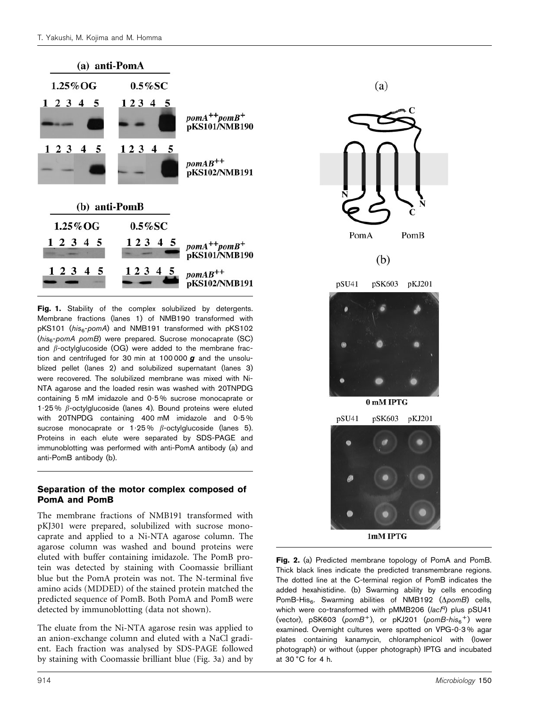

Fig. 1. Stability of the complex solubilized by detergents. Membrane fractions (lanes 1) of NMB190 transformed with pKS101 (his<sub>6</sub>-pomA) and NMB191 transformed with pKS102  $(his_{6}$ -pomA pomB) were prepared. Sucrose monocaprate (SC) and  $\beta$ -octylglucoside (OG) were added to the membrane fraction and centrifuged for 30 min at 100 000 *g* and the unsolublized pellet (lanes 2) and solubilized supernatant (lanes 3) were recovered. The solubilized membrane was mixed with Ni-NTA agarose and the loaded resin was washed with 20TNPDG containing 5 mM imidazole and 0?5 % sucrose monocaprate or 1.25 %  $\beta$ -octylglucoside (lanes 4). Bound proteins were eluted with 20TNPDG containing 400 mM imidazole and 0.5% sucrose monocaprate or 1.25%  $\beta$ -octylglucoside (lanes 5). Proteins in each elute were separated by SDS-PAGE and immunoblotting was performed with anti-PomA antibody (a) and anti-PomB antibody (b).

#### Separation of the motor complex composed of PomA and PomB

The membrane fractions of NMB191 transformed with pKJ301 were prepared, solubilized with sucrose monocaprate and applied to a Ni-NTA agarose column. The agarose column was washed and bound proteins were eluted with buffer containing imidazole. The PomB protein was detected by staining with Coomassie brilliant blue but the PomA protein was not. The N-terminal five amino acids (MDDED) of the stained protein matched the predicted sequence of PomB. Both PomA and PomB were detected by immunoblotting (data not shown).

The eluate from the Ni-NTA agarose resin was applied to an anion-exchange column and eluted with a NaCl gradient. Each fraction was analysed by SDS-PAGE followed by staining with Coomassie brilliant blue (Fig. 3a) and by





1mM IPTG

Fig. 2. (a) Predicted membrane topology of PomA and PomB. Thick black lines indicate the predicted transmembrane regions. The dotted line at the C-terminal region of PomB indicates the added hexahistidine. (b) Swarming ability by cells encoding PomB-His<sub>6</sub>. Swarming abilities of NMB192 ( $\Delta p$ omB) cells, which were co-transformed with pMMB206 (lacl<sup>q</sup>) plus pSU41 (vector), pSK603 ( $\mathit{pom}B^+$ ), or pKJ201 ( $\mathit{pom}B\text{-}h\mathit{is}_6^+$ ) were examined. Overnight cultures were spotted on VPG-0?3 % agar plates containing kanamycin, chloramphenicol with (lower photograph) or without (upper photograph) IPTG and incubated at  $30^{\circ}$ C for 4 h.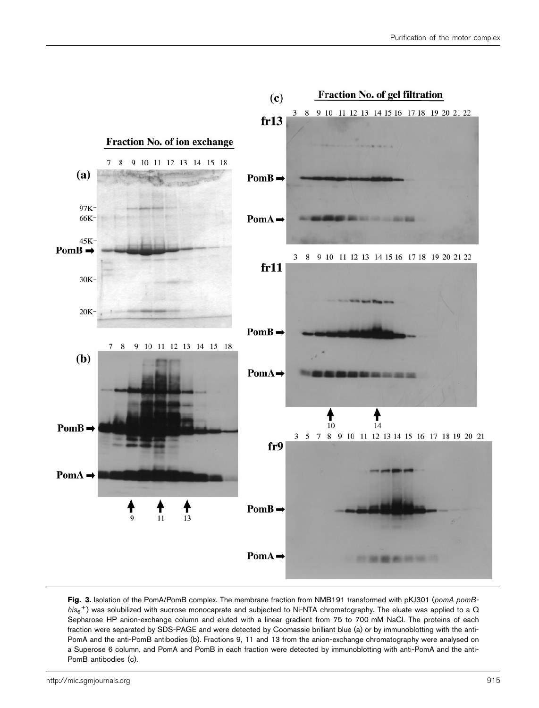

Fig. 3. Isolation of the PomA/PomB complex. The membrane fraction from NMB191 transformed with pKJ301 (pomA pomB- $\hbar$ is<sub>6</sub><sup>+</sup>) was solubilized with sucrose monocaprate and subjected to Ni-NTA chromatography. The eluate was applied to a Q Sepharose HP anion-exchange column and eluted with a linear gradient from 75 to 700 mM NaCl. The proteins of each fraction were separated by SDS-PAGE and were detected by Coomassie brilliant blue (a) or by immunoblotting with the anti-PomA and the anti-PomB antibodies (b). Fractions 9, 11 and 13 from the anion-exchange chromatography were analysed on a Superose 6 column, and PomA and PomB in each fraction were detected by immunoblotting with anti-PomA and the anti-PomB antibodies (c).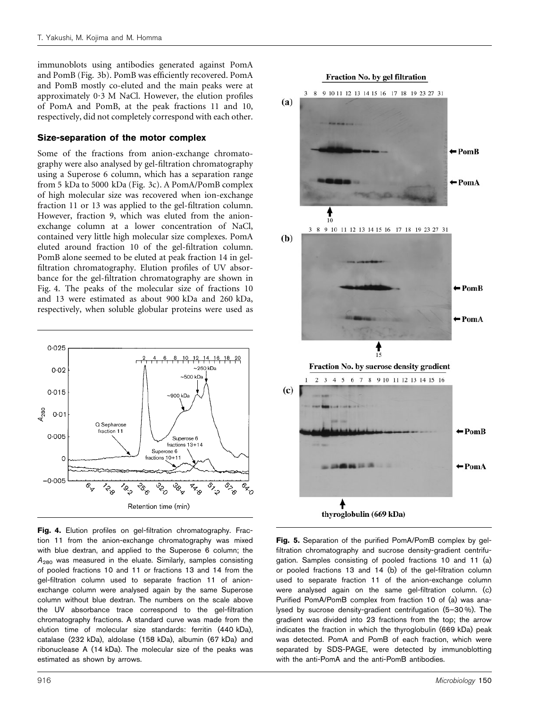immunoblots using antibodies generated against PomA and PomB (Fig. 3b). PomB was efficiently recovered. PomA and PomB mostly co-eluted and the main peaks were at approximately  $0.3$  M NaCl. However, the elution profiles of PomA and PomB, at the peak fractions 11 and 10, respectively, did not completely correspond with each other.

#### Size-separation of the motor complex

Some of the fractions from anion-exchange chromatography were also analysed by gel-filtration chromatography using a Superose 6 column, which has a separation range from 5 kDa to 5000 kDa (Fig. 3c). A PomA/PomB complex of high molecular size was recovered when ion-exchange fraction 11 or 13 was applied to the gel-filtration column. However, fraction 9, which was eluted from the anionexchange column at a lower concentration of NaCl, contained very little high molecular size complexes. PomA eluted around fraction 10 of the gel-filtration column. PomB alone seemed to be eluted at peak fraction 14 in gelfiltration chromatography. Elution profiles of UV absorbance for the gel-filtration chromatography are shown in Fig. 4. The peaks of the molecular size of fractions 10 and 13 were estimated as about 900 kDa and 260 kDa, respectively, when soluble globular proteins were used as



Fig. 4. Elution profiles on gel-filtration chromatography. Fraction 11 from the anion-exchange chromatography was mixed with blue dextran, and applied to the Superose 6 column; the  $A_{280}$  was measured in the eluate. Similarly, samples consisting of pooled fractions 10 and 11 or fractions 13 and 14 from the gel-filtration column used to separate fraction 11 of anionexchange column were analysed again by the same Superose column without blue dextran. The numbers on the scale above the UV absorbance trace correspond to the gel-filtration chromatography fractions. A standard curve was made from the elution time of molecular size standards: ferritin (440 kDa), catalase (232 kDa), aldolase (158 kDa), albumin (67 kDa) and ribonuclease A (14 kDa). The molecular size of the peaks was estimated as shown by arrows.



Fig. 5. Separation of the purified PomA/PomB complex by gelfiltration chromatography and sucrose density-gradient centrifugation. Samples consisting of pooled fractions 10 and 11 (a) or pooled fractions 13 and 14 (b) of the gel-filtration column used to separate fraction 11 of the anion-exchange column were analysed again on the same gel-filtration column. (c) Purified PomA/PomB complex from fraction 10 of (a) was analysed by sucrose density-gradient centrifugation (5–30 %). The gradient was divided into 23 fractions from the top; the arrow indicates the fraction in which the thyroglobulin (669 kDa) peak was detected. PomA and PomB of each fraction, which were separated by SDS-PAGE, were detected by immunoblotting with the anti-PomA and the anti-PomB antibodies.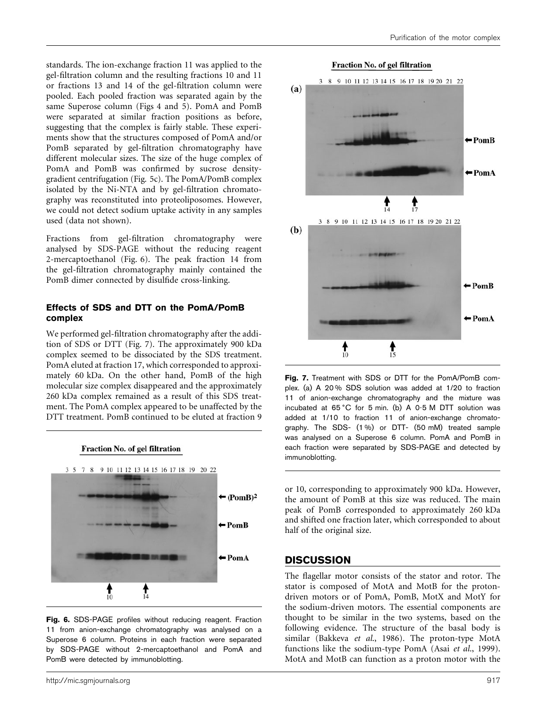standards. The ion-exchange fraction 11 was applied to the gel-filtration column and the resulting fractions 10 and 11 or fractions 13 and 14 of the gel-filtration column were pooled. Each pooled fraction was separated again by the same Superose column (Figs 4 and 5). PomA and PomB were separated at similar fraction positions as before, suggesting that the complex is fairly stable. These experiments show that the structures composed of PomA and/or PomB separated by gel-filtration chromatography have different molecular sizes. The size of the huge complex of PomA and PomB was confirmed by sucrose densitygradient centrifugation (Fig. 5c). The PomA/PomB complex isolated by the Ni-NTA and by gel-filtration chromatography was reconstituted into proteoliposomes. However, we could not detect sodium uptake activity in any samples used (data not shown).

Fractions from gel-filtration chromatography were analysed by SDS-PAGE without the reducing reagent 2-mercaptoethanol (Fig. 6). The peak fraction 14 from the gel-filtration chromatography mainly contained the PomB dimer connected by disulfide cross-linking.

#### Effects of SDS and DTT on the PomA/PomB complex

We performed gel-filtration chromatography after the addition of SDS or DTT (Fig. 7). The approximately 900 kDa complex seemed to be dissociated by the SDS treatment. PomA eluted at fraction 17, which corresponded to approximately 60 kDa. On the other hand, PomB of the high molecular size complex disappeared and the approximately 260 kDa complex remained as a result of this SDS treatment. The PomA complex appeared to be unaffected by the DTT treatment. PomB continued to be eluted at fraction 9







Fig. 7. Treatment with SDS or DTT for the PomA/PomB complex. (a) A 20 % SDS solution was added at 1/20 to fraction 11 of anion-exchange chromatography and the mixture was incubated at  $65^{\circ}$ C for 5 min. (b) A  $0.5$  M DTT solution was added at 1/10 to fraction 11 of anion-exchange chromatography. The SDS- (1 %) or DTT- (50 mM) treated sample was analysed on a Superose 6 column. PomA and PomB in each fraction were separated by SDS-PAGE and detected by immunoblotting.

or 10, corresponding to approximately 900 kDa. However, the amount of PomB at this size was reduced. The main peak of PomB corresponded to approximately 260 kDa and shifted one fraction later, which corresponded to about half of the original size.

#### **DISCUSSION**

The flagellar motor consists of the stator and rotor. The stator is composed of MotA and MotB for the protondriven motors or of PomA, PomB, MotX and MotY for the sodium-driven motors. The essential components are thought to be similar in the two systems, based on the following evidence. The structure of the basal body is similar (Bakkeva et al., 1986). The proton-type MotA functions like the sodium-type PomA (Asai et al., 1999). MotA and MotB can function as a proton motor with the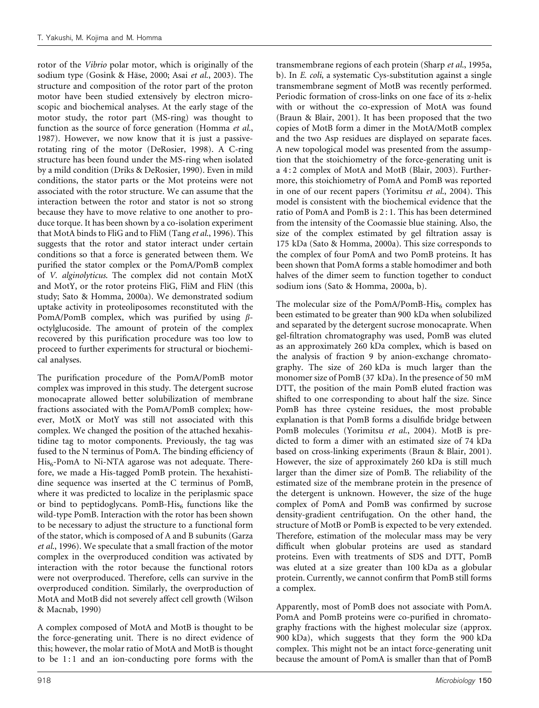rotor of the Vibrio polar motor, which is originally of the sodium type (Gosink & Häse, 2000; Asai et al., 2003). The structure and composition of the rotor part of the proton motor have been studied extensively by electron microscopic and biochemical analyses. At the early stage of the motor study, the rotor part (MS-ring) was thought to function as the source of force generation (Homma et al., 1987). However, we now know that it is just a passiverotating ring of the motor (DeRosier, 1998). A C-ring structure has been found under the MS-ring when isolated by a mild condition (Driks & DeRosier, 1990). Even in mild conditions, the stator parts or the Mot proteins were not associated with the rotor structure. We can assume that the interaction between the rotor and stator is not so strong because they have to move relative to one another to produce torque. It has been shown by a co-isolation experiment that MotA binds to FliG and to FliM (Tang et al., 1996). This suggests that the rotor and stator interact under certain conditions so that a force is generated between them. We purified the stator complex or the PomA/PomB complex of V. alginolyticus. The complex did not contain MotX and MotY, or the rotor proteins FliG, FliM and FliN (this study; Sato & Homma, 2000a). We demonstrated sodium uptake activity in proteoliposomes reconstituted with the PomA/PomB complex, which was purified by using  $\beta$ octylglucoside. The amount of protein of the complex recovered by this purification procedure was too low to proceed to further experiments for structural or biochemical analyses.

The purification procedure of the PomA/PomB motor complex was improved in this study. The detergent sucrose monocaprate allowed better solubilization of membrane fractions associated with the PomA/PomB complex; however, MotX or MotY was still not associated with this complex. We changed the position of the attached hexahistidine tag to motor components. Previously, the tag was fused to the N terminus of PomA. The binding efficiency of  $His<sub>6</sub>-PomA$  to Ni-NTA agarose was not adequate. Therefore, we made a His-tagged PomB protein. The hexahistidine sequence was inserted at the C terminus of PomB, where it was predicted to localize in the periplasmic space or bind to peptidoglycans. PomB-His $_6$  functions like the wild-type PomB. Interaction with the rotor has been shown to be necessary to adjust the structure to a functional form of the stator, which is composed of A and B subunits (Garza et al., 1996). We speculate that a small fraction of the motor complex in the overproduced condition was activated by interaction with the rotor because the functional rotors were not overproduced. Therefore, cells can survive in the overproduced condition. Similarly, the overproduction of MotA and MotB did not severely affect cell growth (Wilson & Macnab, 1990)

A complex composed of MotA and MotB is thought to be the force-generating unit. There is no direct evidence of this; however, the molar ratio of MotA and MotB is thought to be  $1:1$  and an ion-conducting pore forms with the

transmembrane regions of each protein (Sharp et al., 1995a, b). In *E. coli*, a systematic Cys-substitution against a single transmembrane segment of MotB was recently performed. Periodic formation of cross-links on one face of its  $\alpha$ -helix with or without the co-expression of MotA was found (Braun & Blair, 2001). It has been proposed that the two copies of MotB form a dimer in the MotA/MotB complex and the two Asp residues are displayed on separate faces. A new topological model was presented from the assumption that the stoichiometry of the force-generating unit is a 4 : 2 complex of MotA and MotB (Blair, 2003). Furthermore, this stoichiometry of PomA and PomB was reported in one of our recent papers (Yorimitsu et al., 2004). This model is consistent with the biochemical evidence that the ratio of PomA and PomB is 2 : 1. This has been determined from the intensity of the Coomassie blue staining. Also, the size of the complex estimated by gel filtration assay is 175 kDa (Sato & Homma, 2000a). This size corresponds to the complex of four PomA and two PomB proteins. It has been shown that PomA forms a stable homodimer and both halves of the dimer seem to function together to conduct sodium ions (Sato & Homma, 2000a, b).

The molecular size of the PomA/PomB-His $_6$  complex has been estimated to be greater than 900 kDa when solubilized and separated by the detergent sucrose monocaprate. When gel-filtration chromatography was used, PomB was eluted as an approximately 260 kDa complex, which is based on the analysis of fraction 9 by anion-exchange chromatography. The size of 260 kDa is much larger than the monomer size of PomB (37 kDa). In the presence of 50 mM DTT, the position of the main PomB eluted fraction was shifted to one corresponding to about half the size. Since PomB has three cysteine residues, the most probable explanation is that PomB forms a disulfide bridge between PomB molecules (Yorimitsu et al., 2004). MotB is predicted to form a dimer with an estimated size of 74 kDa based on cross-linking experiments (Braun & Blair, 2001). However, the size of approximately 260 kDa is still much larger than the dimer size of PomB. The reliability of the estimated size of the membrane protein in the presence of the detergent is unknown. However, the size of the huge complex of PomA and PomB was confirmed by sucrose density-gradient centrifugation. On the other hand, the structure of MotB or PomB is expected to be very extended. Therefore, estimation of the molecular mass may be very difficult when globular proteins are used as standard proteins. Even with treatments of SDS and DTT, PomB was eluted at a size greater than 100 kDa as a globular protein. Currently, we cannot confirm that PomB still forms a complex.

Apparently, most of PomB does not associate with PomA. PomA and PomB proteins were co-purified in chromatography fractions with the highest molecular size (approx. 900 kDa), which suggests that they form the 900 kDa complex. This might not be an intact force-generating unit because the amount of PomA is smaller than that of PomB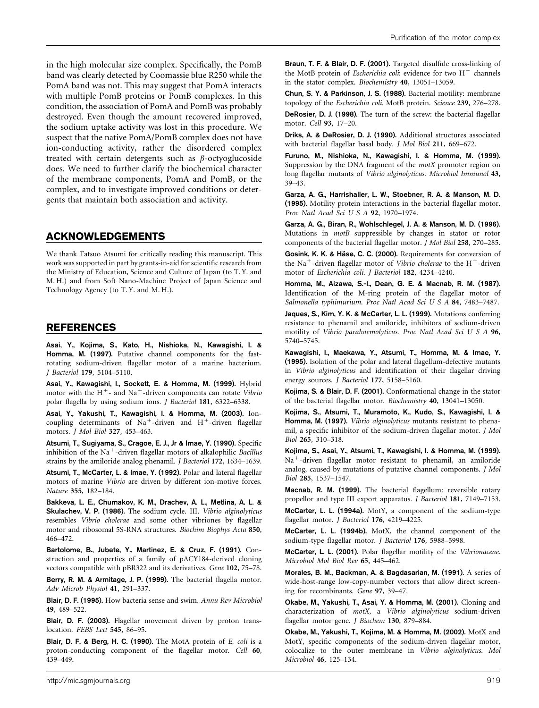in the high molecular size complex. Specifically, the PomB band was clearly detected by Coomassie blue R250 while the PomA band was not. This may suggest that PomA interacts with multiple PomB proteins or PomB complexes. In this condition, the association of PomA and PomB was probably destroyed. Even though the amount recovered improved, the sodium uptake activity was lost in this procedure. We suspect that the native PomA/PomB complex does not have ion-conducting activity, rather the disordered complex treated with certain detergents such as  $\beta$ -octyoglucoside does. We need to further clarify the biochemical character of the membrane components, PomA and PomB, or the complex, and to investigate improved conditions or detergents that maintain both association and activity.

## ACKNOWLEDGEMENTS

We thank Tatsuo Atsumi for critically reading this manuscript. This work was supported in part by grants-in-aid for scientific research from the Ministry of Education, Science and Culture of Japan (to T. Y. and M. H.) and from Soft Nano-Machine Project of Japan Science and Technology Agency (to T. Y. and M. H.).

## REFERENCES

Asai, Y., Kojima, S., Kato, H., Nishioka, N., Kawagishi, I. & Homma, M. (1997). Putative channel components for the fastrotating sodium-driven flagellar motor of a marine bacterium. J Bacteriol 179, 5104–5110.

Asai, Y., Kawagishi, I., Sockett, E. & Homma, M. (1999). Hybrid motor with the  $H^+$ - and Na<sup>+</sup>-driven components can rotate Vibrio polar flagella by using sodium ions. J Bacteriol 181, 6322–6338.

Asai, Y., Yakushi, T., Kawagishi, I. & Homma, M. (2003). Ioncoupling determinants of Na<sup>+</sup>-driven and H<sup>+</sup>-driven flagellar motors. J Mol Biol 327, 453–463.

Atsumi, T., Sugiyama, S., Cragoe, E. J., Jr & Imae, Y. (1990). Specific inhibition of the Na<sup>+</sup>-driven flagellar motors of alkalophilic *Bacillus* strains by the amiloride analog phenamil. J Bacteriol 172, 1634–1639.

Atsumi, T., McCarter, L. & Imae, Y. (1992). Polar and lateral flagellar motors of marine Vibrio are driven by different ion-motive forces. Nature 355, 182–184.

Bakkeva, L. E., Chumakov, K. M., Drachev, A. L., Metlina, A. L. & Skulachev, V. P. (1986). The sodium cycle. III. Vibrio alginolyticus resembles Vibrio cholerae and some other vibriones by flagellar motor and ribosomal 5S-RNA structures. Biochim Biophys Acta 850, 466–472.

Bartolome, B., Jubete, Y., Martinez, E. & Cruz, F. (1991). Construction and properties of a family of pACY184-derived cloning vectors compatible with pBR322 and its derivatives. Gene 102, 75–78.

Berry, R. M. & Armitage, J. P. (1999). The bacterial flagella motor. Adv Microb Physiol 41, 291–337.

Blair, D. F. (1995). How bacteria sense and swim. Annu Rev Microbiol 49, 489–522.

Blair, D. F. (2003). Flagellar movement driven by proton translocation. FEBS Lett 545, 86–95.

Blair, D. F. & Berg, H. C. (1990). The MotA protein of E. coli is a proton-conducting component of the flagellar motor. Cell 60, 439–449.

Braun, T. F. & Blair, D. F. (2001). Targeted disulfide cross-linking of the MotB protein of *Escherichia coli*: evidence for two  $H^+$  channels in the stator complex. Biochemistry 40, 13051–13059.

Chun, S. Y. & Parkinson, J. S. (1988). Bacterial motility: membrane topology of the Escherichia coli. MotB protein. Science 239, 276–278.

DeRosier, D. J. (1998). The turn of the screw: the bacterial flagellar motor. Cell 93, 17–20.

Driks, A. & DeRosier, D. J. (1990). Additional structures associated with bacterial flagellar basal body. J Mol Biol 211, 669–672.

Furuno, M., Nishioka, N., Kawagishi, I. & Homma, M. (1999). Suppression by the DNA fragment of the *motX* promoter region on long flagellar mutants of Vibrio alginolyticus. Microbiol Immunol 43, 39–43.

Garza, A. G., Harrishaller, L. W., Stoebner, R. A. & Manson, M. D. (1995). Motility protein interactions in the bacterial flagellar motor. Proc Natl Acad Sci U S A 92, 1970–1974.

Garza, A. G., Biran, R., Wohlschlegel, J. A. & Manson, M. D. (1996). Mutations in motB suppressible by changes in stator or rotor components of the bacterial flagellar motor. J Mol Biol 258, 270–285.

Gosink, K. K. & Häse, C. C. (2000). Requirements for conversion of the Na<sup>+</sup>-driven flagellar motor of *Vibrio cholerae* to the  $H^+$ -driven motor of Escherichia coli. J Bacteriol 182, 4234–4240.

Homma, M., Aizawa, S.-I., Dean, G. E. & Macnab, R. M. (1987). Identification of the M-ring protein of the flagellar motor of Salmonella typhimurium. Proc Natl Acad Sci U S A 84, 7483–7487.

Jaques, S., Kim, Y. K. & McCarter, L. L. (1999). Mutations conferring resistance to phenamil and amiloride, inhibitors of sodium-driven motility of Vibrio parahaemolyticus. Proc Natl Acad Sci U S A 96, 5740–5745.

Kawagishi, I., Maekawa, Y., Atsumi, T., Homma, M. & Imae, Y. (1995). Isolation of the polar and lateral flagellum-defective mutants in Vibrio alginolyticus and identification of their flagellar driving energy sources. *J Bacteriol* 177, 5158–5160.

Kojima, S. & Blair, D. F. (2001). Conformational change in the stator of the bacterial flagellar motor. Biochemistry 40, 13041–13050.

Kojima, S., Atsumi, T., Muramoto, K., Kudo, S., Kawagishi, I. & Homma, M. (1997). Vibrio alginolyticus mutants resistant to phenamil, a specific inhibitor of the sodium-driven flagellar motor. J Mol Biol 265, 310–318.

Kojima, S., Asai, Y., Atsumi, T., Kawagishi, I. & Homma, M. (1999). Na<sup>+</sup>-driven flagellar motor resistant to phenamil, an amiloride analog, caused by mutations of putative channel components. J Mol Biol 285, 1537–1547.

Macnab, R. M. (1999). The bacterial flagellum: reversible rotary propellor and type III export apparatus. J Bacteriol 181, 7149–7153.

McCarter, L. L. (1994a). MotY, a component of the sodium-type flagellar motor. J Bacteriol 176, 4219–4225.

McCarter, L. L. (1994b). MotX, the channel component of the sodium-type flagellar motor. J Bacteriol 176, 5988–5998.

McCarter, L. L. (2001). Polar flagellar motility of the Vibrionaceae. Microbiol Mol Biol Rev 65, 445–462.

Morales, B. M., Backman, A. & Bagdasarian, M. (1991). A series of wide-host-range low-copy-number vectors that allow direct screening for recombinants. Gene 97, 39–47.

Okabe, M., Yakushi, T., Asai, Y. & Homma, M. (2001). Cloning and characterization of motX, a Vibrio alginolyticus sodium-driven flagellar motor gene. J Biochem 130, 879–884.

Okabe, M., Yakushi, T., Kojima, M. & Homma, M. (2002). MotX and MotY, specific components of the sodium-driven flagellar motor, colocalize to the outer membrane in Vibrio alginolyticus. Mol Microbiol 46, 125–134.